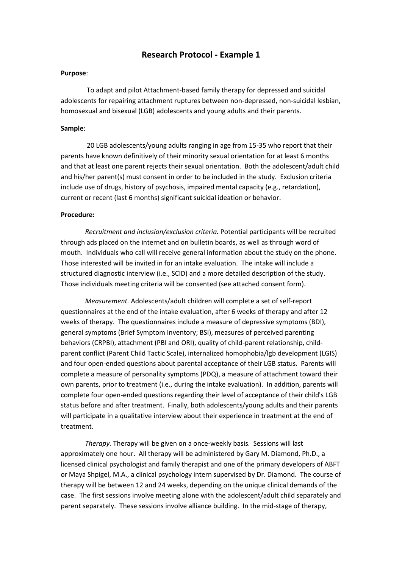## **Research Protocol - Example 1**

#### **Purpose**:

To adapt and pilot Attachment-based family therapy for depressed and suicidal adolescents for repairing attachment ruptures between non-depressed, non-suicidal lesbian, homosexual and bisexual (LGB) adolescents and young adults and their parents.

#### **Sample**:

20 LGB adolescents/young adults ranging in age from 15-35 who report that their parents have known definitively of their minority sexual orientation for at least 6 months and that at least one parent rejects their sexual orientation. Both the adolescent/adult child and his/her parent(s) must consent in order to be included in the study. Exclusion criteria include use of drugs, history of psychosis, impaired mental capacity (e.g., retardation), current or recent (last 6 months) significant suicidal ideation or behavior.

#### **Procedure:**

*Recruitment and inclusion/exclusion criteria.* Potential participants will be recruited through ads placed on the internet and on bulletin boards, as well as through word of mouth. Individuals who call will receive general information about the study on the phone. Those interested will be invited in for an intake evaluation. The intake will include a structured diagnostic interview (i.e., SCID) and a more detailed description of the study. Those individuals meeting criteria will be consented (see attached consent form).

*Measurement.* Adolescents/adult children will complete a set of self-report questionnaires at the end of the intake evaluation, after 6 weeks of therapy and after 12 weeks of therapy. The questionnaires include a measure of depressive symptoms (BDI), general symptoms (Brief Symptom Inventory; BSI), measures of perceived parenting behaviors (CRPBI), attachment (PBI and ORI), quality of child-parent relationship, childparent conflict (Parent Child Tactic Scale), internalized homophobia/lgb development (LGIS) and four open-ended questions about parental acceptance of their LGB status. Parents will complete a measure of personality symptoms (PDQ), a measure of attachment toward their own parents, prior to treatment (i.e., during the intake evaluation). In addition, parents will complete four open-ended questions regarding their level of acceptance of their child's LGB status before and after treatment. Finally, both adolescents/young adults and their parents will participate in a qualitative interview about their experience in treatment at the end of treatment.

*Therapy.* Therapy will be given on a once-weekly basis. Sessions will last approximately one hour. All therapy will be administered by Gary M. Diamond, Ph.D., a licensed clinical psychologist and family therapist and one of the primary developers of ABFT or Maya Shpigel, M.A., a clinical psychology intern supervised by Dr. Diamond. The course of therapy will be between 12 and 24 weeks, depending on the unique clinical demands of the case. The first sessions involve meeting alone with the adolescent/adult child separately and parent separately. These sessions involve alliance building. In the mid-stage of therapy,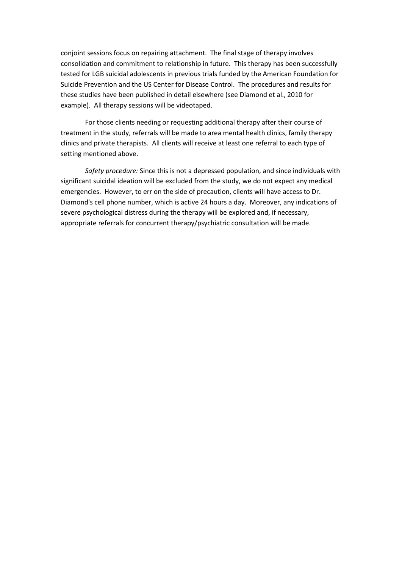conjoint sessions focus on repairing attachment. The final stage of therapy involves consolidation and commitment to relationship in future. This therapy has been successfully tested for LGB suicidal adolescents in previous trials funded by the American Foundation for Suicide Prevention and the US Center for Disease Control. The procedures and results for these studies have been published in detail elsewhere (see Diamond et al., 2010 for example). All therapy sessions will be videotaped.

For those clients needing or requesting additional therapy after their course of treatment in the study, referrals will be made to area mental health clinics, family therapy clinics and private therapists. All clients will receive at least one referral to each type of setting mentioned above.

*Safety procedure:* Since this is not a depressed population, and since individuals with significant suicidal ideation will be excluded from the study, we do not expect any medical emergencies. However, to err on the side of precaution, clients will have access to Dr. Diamond's cell phone number, which is active 24 hours a day. Moreover, any indications of severe psychological distress during the therapy will be explored and, if necessary, appropriate referrals for concurrent therapy/psychiatric consultation will be made.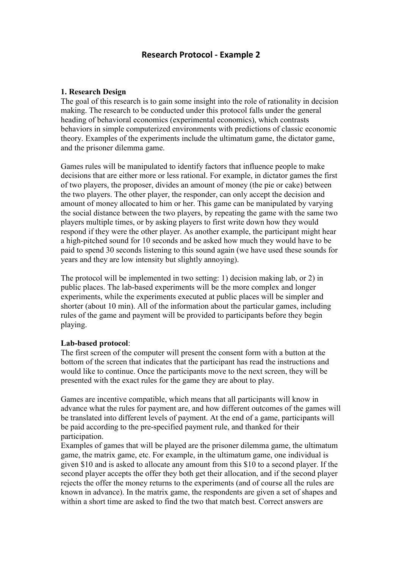# **Research Protocol - Example 2**

## **1. Research Design**

The goal of this research is to gain some insight into the role of rationality in decision making. The research to be conducted under this protocol falls under the general heading of behavioral economics (experimental economics), which contrasts behaviors in simple computerized environments with predictions of classic economic theory. Examples of the experiments include the ultimatum game, the dictator game, and the prisoner dilemma game.

Games rules will be manipulated to identify factors that influence people to make decisions that are either more or less rational. For example, in dictator games the first of two players, the proposer, divides an amount of money (the pie or cake) between the two players. The other player, the responder, can only accept the decision and amount of money allocated to him or her. This game can be manipulated by varying the social distance between the two players, by repeating the game with the same two players multiple times, or by asking players to first write down how they would respond if they were the other player. As another example, the participant might hear a high-pitched sound for 10 seconds and be asked how much they would have to be paid to spend 30 seconds listening to this sound again (we have used these sounds for years and they are low intensity but slightly annoying).

The protocol will be implemented in two setting: 1) decision making lab, or 2) in public places. The lab-based experiments will be the more complex and longer experiments, while the experiments executed at public places will be simpler and shorter (about 10 min). All of the information about the particular games, including rules of the game and payment will be provided to participants before they begin playing.

### **Lab-based protocol**:

The first screen of the computer will present the consent form with a button at the bottom of the screen that indicates that the participant has read the instructions and would like to continue. Once the participants move to the next screen, they will be presented with the exact rules for the game they are about to play.

Games are incentive compatible, which means that all participants will know in advance what the rules for payment are, and how different outcomes of the games will be translated into different levels of payment. At the end of a game, participants will be paid according to the pre-specified payment rule, and thanked for their participation.

Examples of games that will be played are the prisoner dilemma game, the ultimatum game, the matrix game, etc. For example, in the ultimatum game, one individual is given \$10 and is asked to allocate any amount from this \$10 to a second player. If the second player accepts the offer they both get their allocation, and if the second player rejects the offer the money returns to the experiments (and of course all the rules are known in advance). In the matrix game, the respondents are given a set of shapes and within a short time are asked to find the two that match best. Correct answers are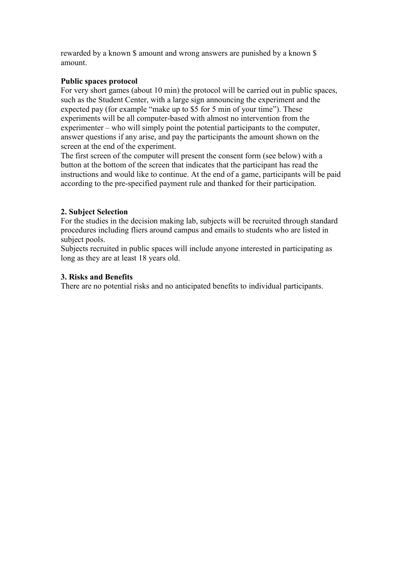rewarded by a known \$ amount and wrong answers are punished by a known \$ amount.

## **Public spaces protocol**

For very short games (about 10 min) the protocol will be carried out in public spaces, such as the Student Center, with a large sign announcing the experiment and the expected pay (for example "make up to \$5 for 5 min of your time"). These experiments will be all computer-based with almost no intervention from the experimenter – who will simply point the potential participants to the computer, answer questions if any arise, and pay the participants the amount shown on the screen at the end of the experiment.

The first screen of the computer will present the consent form (see below) with a button at the bottom of the screen that indicates that the participant has read the instructions and would like to continue. At the end of a game, participants will be paid according to the pre-specified payment rule and thanked for their participation.

## **2. Subject Selection**

For the studies in the decision making lab, subjects will be recruited through standard procedures including fliers around campus and emails to students who are listed in subject pools.

Subjects recruited in public spaces will include anyone interested in participating as long as they are at least 18 years old.

## **3. Risks and Benefits**

There are no potential risks and no anticipated benefits to individual participants.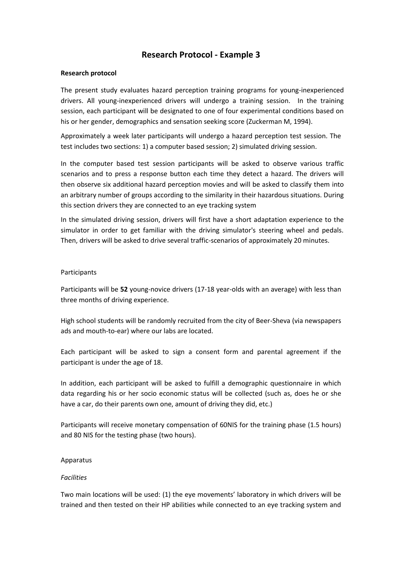# **Research Protocol - Example 3**

### **Research protocol**

The present study evaluates hazard perception training programs for young-inexperienced drivers. All young-inexperienced drivers will undergo a training session. In the training session, each participant will be designated to one of four experimental conditions based on his or her gender, demographics and sensation seeking score (Zuckerman M, 1994).

Approximately a week later participants will undergo a hazard perception test session. The test includes two sections: 1) a computer based session; 2) simulated driving session.

In the computer based test session participants will be asked to observe various traffic scenarios and to press a response button each time they detect a hazard. The drivers will then observe six additional hazard perception movies and will be asked to classify them into an arbitrary number of groups according to the similarity in their hazardous situations. During this section drivers they are connected to an eye tracking system

In the simulated driving session, drivers will first have a short adaptation experience to the simulator in order to get familiar with the driving simulator's steering wheel and pedals. Then, drivers will be asked to drive several traffic-scenarios of approximately 20 minutes.

### Participants

Participants will be **52** young-novice drivers (17-18 year-olds with an average) with less than three months of driving experience.

High school students will be randomly recruited from the city of Beer-Sheva (via newspapers ads and mouth-to-ear) where our labs are located.

Each participant will be asked to sign a consent form and parental agreement if the participant is under the age of 18.

In addition, each participant will be asked to fulfill a demographic questionnaire in which data regarding his or her socio economic status will be collected (such as, does he or she have a car, do their parents own one, amount of driving they did, etc.)

Participants will receive monetary compensation of 60NIS for the training phase (1.5 hours) and 80 NIS for the testing phase (two hours).

### Apparatus

### *Facilities*

Two main locations will be used: (1) the eye movements' laboratory in which drivers will be trained and then tested on their HP abilities while connected to an eye tracking system and